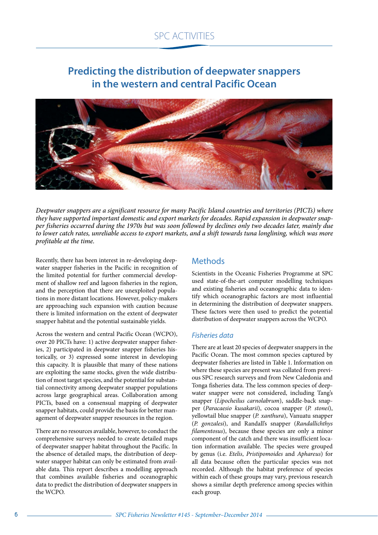# **Predicting the distribution of deepwater snappers in the western and central Pacific Ocean**



*Deepwater snappers are a significant resource for many Pacific Island countries and territories (PICTs) where they have supported important domestic and export markets for decades. Rapid expansion in deepwater snapper fisheries occurred during the 1970s but was soon followed by declines only two decades later, mainly due to lower catch rates, unreliable access to export markets, and a shift towards tuna longlining, which was more profitable at the time.*

Recently, there has been interest in re-developing deepwater snapper fisheries in the Pacific in recognition of the limited potential for further commercial development of shallow reef and lagoon fisheries in the region, and the perception that there are unexploited populations in more distant locations. However, policy-makers are approaching such expansion with caution because there is limited information on the extent of deepwater snapper habitat and the potential sustainable yields.

Across the western and central Pacific Ocean (WCPO), over 20 PICTs have: 1) active deepwater snapper fisheries, 2) participated in deepwater snapper fisheries historically, or 3) expressed some interest in developing this capacity. It is plausible that many of these nations are exploiting the same stocks, given the wide distribution of most target species, and the potential for substantial connectivity among deepwater snapper populations across large geographical areas. Collaboration among PICTs, based on a consensual mapping of deepwater snapper habitats, could provide the basis for better management of deepwater snapper resources in the region.

There are no resources available, however, to conduct the comprehensive surveys needed to create detailed maps of deepwater snapper habitat throughout the Pacific. In the absence of detailed maps, the distribution of deepwater snapper habitat can only be estimated from available data. This report describes a modelling approach that combines available fisheries and oceanographic data to predict the distribution of deepwater snappers in the WCPO.

## Methods

Scientists in the Oceanic Fisheries Programme at SPC used state-of-the-art computer modelling techniques and existing fisheries and oceanographic data to identify which oceanographic factors are most influential in determining the distribution of deepwater snappers. These factors were then used to predict the potential distribution of deepwater snappers across the WCPO.

#### *Fisheries data*

There are at least 20 species of deepwater snappers in the Pacific Ocean. The most common species captured by deepwater fisheries are listed in Table 1. Information on where these species are present was collated from previous SPC research surveys and from New Caledonia and Tonga fisheries data. The less common species of deepwater snapper were not considered, including Tang's snapper (*Lipocheilus carnolabrum*), saddle-back snapper (*Paracaesio kusakarii*), cocoa snapper (*P. stonei*), yellowtail blue snapper (*P. xanthura*), Vanuatu snapper (*P. gonzalesi*), and Randall's snapper (*Randallichthys filamentosus*), because these species are only a minor component of the catch and there was insufficient location information available. The species were grouped by genus (i.e. *Etelis*, *Pristipomoides* and *Aphareus*) for all data because often the particular species was not recorded. Although the habitat preference of species within each of these groups may vary, previous research shows a similar depth preference among species within each group.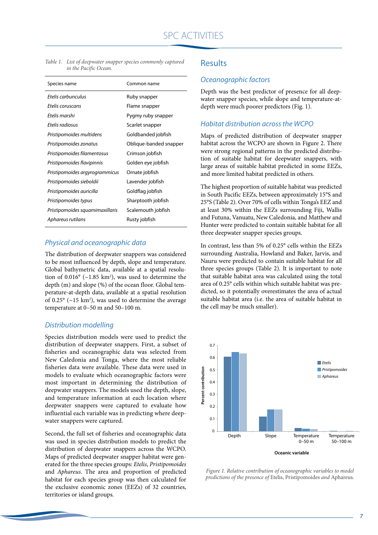| Species name                    | Common name            |  |  |
|---------------------------------|------------------------|--|--|
| Ftelis carbunculus              | Ruby snapper           |  |  |
| Etelis coruscans                | Flame snapper          |  |  |
| Ftelis marshi                   | Pygmy ruby snapper     |  |  |
| Ftelis radiosus                 | Scarlet snapper        |  |  |
| Pristipomoides multidens        | Goldbanded jobfish     |  |  |
| Pristipomoides zonatus          | Oblique-banded snapper |  |  |
| Pristipomoides filamentosus     | Crimson jobfish        |  |  |
| Pristipomoides flavipinnis      | Golden eye jobfish     |  |  |
| Pristipomoides argyrogrammicus  | Ornate jobfish         |  |  |
| Pristipomoides sieboldii        | Lavender jobfish       |  |  |
| Pristipomoides auricilla        | Goldflag jobfish       |  |  |
| Pristipomoides typus            | Sharptooth jobfish     |  |  |
| Pristipomoides squamimaxillaris | Scalemouth jobfish     |  |  |
| Aphareus rutilans               | Rusty jobfish          |  |  |
|                                 |                        |  |  |

*Table 1. List of deepwater snapper species commonly captured in the Pacific Ocean.*

#### *Physical and oceanographic data*

The distribution of deepwater snappers was considered to be most influenced by depth, slope and temperature. Global bathymetric data, available at a spatial resolution of  $0.016^{\circ}$  (~1.85 km<sup>2</sup>), was used to determine the depth (m) and slope (%) of the ocean floor. Global temperature-at-depth data, available at a spatial resolution of  $0.25^{\circ}$  ( $\sim$ 15 km<sup>2</sup>), was used to determine the average temperature at 0–50 m and 50–100 m.

#### *Distribution modelling*

Species distribution models were used to predict the distribution of deepwater snappers. First, a subset of fisheries and oceanographic data was selected from New Caledonia and Tonga, where the most reliable fisheries data were available. These data were used in models to evaluate which oceanographic factors were most important in determining the distribution of deepwater snappers. The models used the depth, slope, and temperature information at each location where deepwater snappers were captured to evaluate how influential each variable was in predicting where deepwater snappers were captured.

Second, the full set of fisheries and oceanographic data was used in species distribution models to predict the distribution of deepwater snappers across the WCPO. Maps of predicted deepwater snapper habitat were generated for the three species groups: *Etelis*, *Pristipomoides* and *Aphareus*. The area and proportion of predicted habitat for each species group was then calculated for the exclusive economic zones (EEZs) of 32 countries, territories or island groups.

#### **Results**

#### *Oceanographic factors*

Depth was the best predictor of presence for all deepwater snapper species, while slope and temperature-atdepth were much poorer predictors (Fig. 1).

#### *Habitat distribution across the WCPO*

Maps of predicted distribution of deepwater snapper habitat across the WCPO are shown in Figure 2. There were strong regional patterns in the predicted distribution of suitable habitat for deepwater snappers, with large areas of suitable habitat predicted in some EEZs, and more limited habitat predicted in others.

The highest proportion of suitable habitat was predicted in South Pacific EEZs, between approximately 15°S and 25°S (Table 2). Over 70% of cells within Tonga's EEZ and at least 30% within the EEZs surrounding Fiji, Wallis and Futuna, Vanuatu, New Caledonia, and Matthew and Hunter were predicted to contain suitable habitat for all three deepwater snapper species groups.

In contrast, less than 5% of 0.25° cells within the EEZs surrounding Australia, Howland and Baker, Jarvis, and Nauru were predicted to contain suitable habitat for all three species groups (Table 2). It is important to note that suitable habitat area was calculated using the total area of 0.25° cells within which suitable habitat was predicted, so it potentially overestimates the area of actual suitable habitat area (i.e. the area of suitable habitat in the cell may be much smaller).



*Figure 1. Relative contribution of oceanographic variables to model predictions of the presence of* Etelis, Pristipomoides *and* Aphareus*.*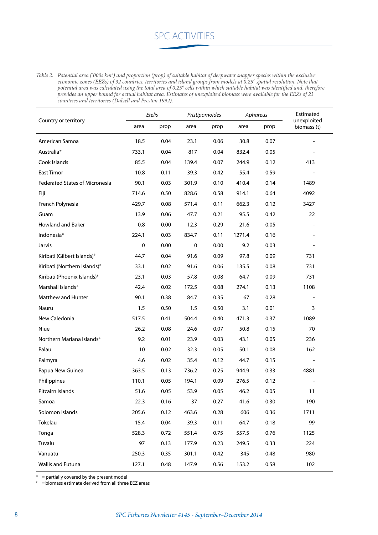*Table 2. Potential area ('000s km2 ) and proportion (prop) of suitable habitat of deepwater snapper species within the exclusive economic zones (EEZs) of 32 countries, territories and island groups from models at 0.25° spatial resolution. Note that potential area was calculated using the total area of 0.25° cells within which suitable habitat was identified and, therefore, provides an upper bound for actual habitat area. Estimates of unexploited biomass were available for the EEZs of 23 countries and territories (Dalzell and Preston 1992).*

| Country or territory                    | Etelis      |      | Pristipomoides |      | Aphareus |      | Estimated                  |
|-----------------------------------------|-------------|------|----------------|------|----------|------|----------------------------|
|                                         | area        | prop | area           | prop | area     | prop | unexploited<br>biomass (t) |
| American Samoa                          | 18.5        | 0.04 | 23.1           | 0.06 | 30.8     | 0.07 |                            |
| Australia*                              | 733.1       | 0.04 | 817            | 0.04 | 832.4    | 0.05 |                            |
| Cook Islands                            | 85.5        | 0.04 | 139.4          | 0.07 | 244.9    | 0.12 | 413                        |
| East Timor                              | 10.8        | 0.11 | 39.3           | 0.42 | 55.4     | 0.59 |                            |
| <b>Federated States of Micronesia</b>   | 90.1        | 0.03 | 301.9          | 0.10 | 410.4    | 0.14 | 1489                       |
| Fiji                                    | 714.6       | 0.50 | 828.6          | 0.58 | 914.1    | 0.64 | 4092                       |
| French Polynesia                        | 429.7       | 0.08 | 571.4          | 0.11 | 662.3    | 0.12 | 3427                       |
| Guam                                    | 13.9        | 0.06 | 47.7           | 0.21 | 95.5     | 0.42 | 22                         |
| <b>Howland and Baker</b>                | 0.8         | 0.00 | 12.3           | 0.29 | 21.6     | 0.05 |                            |
| Indonesia*                              | 224.1       | 0.03 | 834.7          | 0.11 | 1271.4   | 0.16 |                            |
| Jarvis                                  | $\mathbf 0$ | 0.00 | 0              | 0.00 | 9.2      | 0.03 |                            |
| Kiribati (Gilbert Islands) <sup>#</sup> | 44.7        | 0.04 | 91.6           | 0.09 | 97.8     | 0.09 | 731                        |
| Kiribati (Northern Islands)#            | 33.1        | 0.02 | 91.6           | 0.06 | 135.5    | 0.08 | 731                        |
| Kiribati (Phoenix Islands) <sup>#</sup> | 23.1        | 0.03 | 57.8           | 0.08 | 64.7     | 0.09 | 731                        |
| Marshall Islands*                       | 42.4        | 0.02 | 172.5          | 0.08 | 274.1    | 0.13 | 1108                       |
| Matthew and Hunter                      | 90.1        | 0.38 | 84.7           | 0.35 | 67       | 0.28 |                            |
| Nauru                                   | 1.5         | 0.50 | 1.5            | 0.50 | 3.1      | 0.01 | 3                          |
| New Caledonia                           | 517.5       | 0.41 | 504.4          | 0.40 | 471.3    | 0.37 | 1089                       |
| Niue                                    | 26.2        | 0.08 | 24.6           | 0.07 | 50.8     | 0.15 | 70                         |
| Northern Mariana Islands*               | 9.2         | 0.01 | 23.9           | 0.03 | 43.1     | 0.05 | 236                        |
| Palau                                   | 10          | 0.02 | 32.3           | 0.05 | 50.1     | 0.08 | 162                        |
| Palmyra                                 | 4.6         | 0.02 | 35.4           | 0.12 | 44.7     | 0.15 |                            |
| Papua New Guinea                        | 363.5       | 0.13 | 736.2          | 0.25 | 944.9    | 0.33 | 4881                       |
| Philippines                             | 110.1       | 0.05 | 194.1          | 0.09 | 276.5    | 0.12 |                            |
| Pitcairn Islands                        | 51.6        | 0.05 | 53.9           | 0.05 | 46.2     | 0.05 | 11                         |
| Samoa                                   | 22.3        | 0.16 | 37             | 0.27 | 41.6     | 0.30 | 190                        |
| Solomon Islands                         | 205.6       | 0.12 | 463.6          | 0.28 | 606      | 0.36 | 1711                       |
| Tokelau                                 | 15.4        | 0.04 | 39.3           | 0.11 | 64.7     | 0.18 | 99                         |
| Tonga                                   | 528.3       | 0.72 | 551.4          | 0.75 | 557.5    | 0.76 | 1125                       |
| Tuvalu                                  | 97          | 0.13 | 177.9          | 0.23 | 249.5    | 0.33 | 224                        |
| Vanuatu                                 | 250.3       | 0.35 | 301.1          | 0.42 | 345      | 0.48 | 980                        |
| Wallis and Futuna                       | 127.1       | 0.48 | 147.9          | 0.56 | 153.2    | 0.58 | 102                        |

 $* =$  partially covered by the present model

# =biomass estimate derived from all three EEZ areas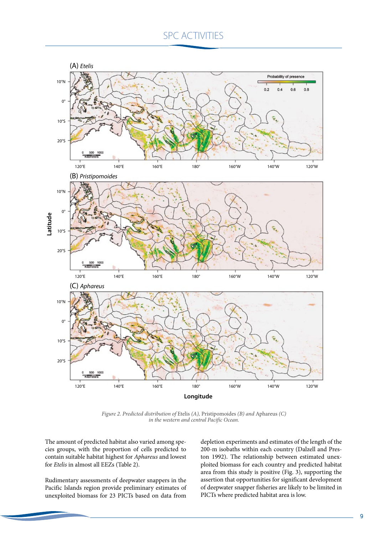

*Figure 2. Predicted distribution of* Etelis *(A),* Pristipomoides *(B) and* Aphareus *(C) in the western and central Pacific Ocean.*

The amount of predicted habitat also varied among species groups, with the proportion of cells predicted to contain suitable habitat highest for *Aphareus* and lowest for *Etelis* in almost all EEZs (Table 2).

Rudimentary assessments of deepwater snappers in the Pacific Islands region provide preliminary estimates of unexploited biomass for 23 PICTs based on data from

depletion experiments and estimates of the length of the 200-m isobaths within each country (Dalzell and Preston 1992). The relationship between estimated unexploited biomass for each country and predicted habitat area from this study is positive (Fig. 3), supporting the assertion that opportunities for significant development of deepwater snapper fisheries are likely to be limited in PICTs where predicted habitat area is low.